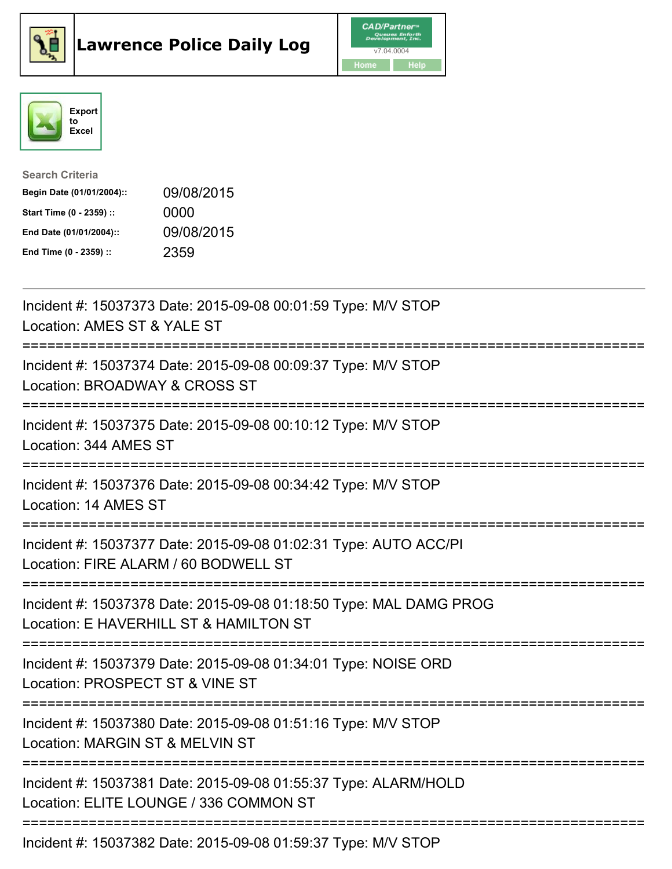





| <b>Search Criteria</b>    |            |
|---------------------------|------------|
| Begin Date (01/01/2004):: | 09/08/2015 |
| Start Time (0 - 2359) ::  | 0000       |
| End Date (01/01/2004)::   | 09/08/2015 |
| End Time (0 - 2359) ::    | 2359       |

| Incident #: 15037373 Date: 2015-09-08 00:01:59 Type: M/V STOP<br>Location: AMES ST & YALE ST                                       |
|------------------------------------------------------------------------------------------------------------------------------------|
| Incident #: 15037374 Date: 2015-09-08 00:09:37 Type: M/V STOP<br>Location: BROADWAY & CROSS ST                                     |
| Incident #: 15037375 Date: 2015-09-08 00:10:12 Type: M/V STOP<br>Location: 344 AMES ST                                             |
| Incident #: 15037376 Date: 2015-09-08 00:34:42 Type: M/V STOP<br>Location: 14 AMES ST                                              |
| Incident #: 15037377 Date: 2015-09-08 01:02:31 Type: AUTO ACC/PI<br>Location: FIRE ALARM / 60 BODWELL ST<br>--------------------   |
| Incident #: 15037378 Date: 2015-09-08 01:18:50 Type: MAL DAMG PROG<br>Location: E HAVERHILL ST & HAMILTON ST                       |
| :============================<br>Incident #: 15037379 Date: 2015-09-08 01:34:01 Type: NOISE ORD<br>Location: PROSPECT ST & VINE ST |
| Incident #: 15037380 Date: 2015-09-08 01:51:16 Type: M/V STOP<br>Location: MARGIN ST & MELVIN ST                                   |
| Incident #: 15037381 Date: 2015-09-08 01:55:37 Type: ALARM/HOLD<br>Location: ELITE LOUNGE / 336 COMMON ST                          |
| ================================<br>Incident #: 15037382 Date: 2015-09-08 01:59:37 Type: M/V STOP                                  |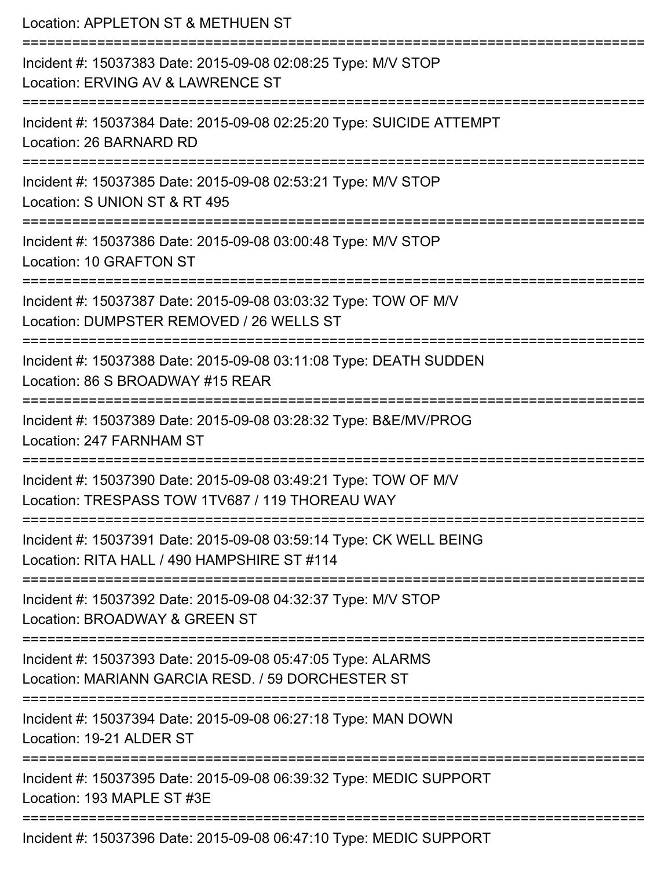Location: APPLETON ST & METHUEN ST =========================================================================== Incident #: 15037383 Date: 2015-09-08 02:08:25 Type: M/V STOP Location: ERVING AV & LAWRENCE ST =========================================================================== Incident #: 15037384 Date: 2015-09-08 02:25:20 Type: SUICIDE ATTEMPT Location: 26 BARNARD RD =========================================================================== Incident #: 15037385 Date: 2015-09-08 02:53:21 Type: M/V STOP Location: S UNION ST & RT 495 =========================================================================== Incident #: 15037386 Date: 2015-09-08 03:00:48 Type: M/V STOP Location: 10 GRAFTON ST =========================================================================== Incident #: 15037387 Date: 2015-09-08 03:03:32 Type: TOW OF M/V Location: DUMPSTER REMOVED / 26 WELLS ST =========================================================================== Incident #: 15037388 Date: 2015-09-08 03:11:08 Type: DEATH SUDDEN Location: 86 S BROADWAY #15 REAR =========================================================================== Incident #: 15037389 Date: 2015-09-08 03:28:32 Type: B&E/MV/PROG Location: 247 FARNHAM ST =========================================================================== Incident #: 15037390 Date: 2015-09-08 03:49:21 Type: TOW OF M/V Location: TRESPASS TOW 1TV687 / 119 THOREAU WAY =========================================================================== Incident #: 15037391 Date: 2015-09-08 03:59:14 Type: CK WELL BEING Location: RITA HALL / 490 HAMPSHIRF ST #114 =========================================================================== Incident #: 15037392 Date: 2015-09-08 04:32:37 Type: M/V STOP Location: BROADWAY & GREEN ST =========================================================================== Incident #: 15037393 Date: 2015-09-08 05:47:05 Type: ALARMS Location: MARIANN GARCIA RESD. / 59 DORCHESTER ST =========================================================================== Incident #: 15037394 Date: 2015-09-08 06:27:18 Type: MAN DOWN Location: 19-21 ALDER ST =========================================================================== Incident #: 15037395 Date: 2015-09-08 06:39:32 Type: MEDIC SUPPORT Location: 193 MAPLE ST #3F =========================================================================== Incident #: 15037396 Date: 2015-09-08 06:47:10 Type: MEDIC SUPPORT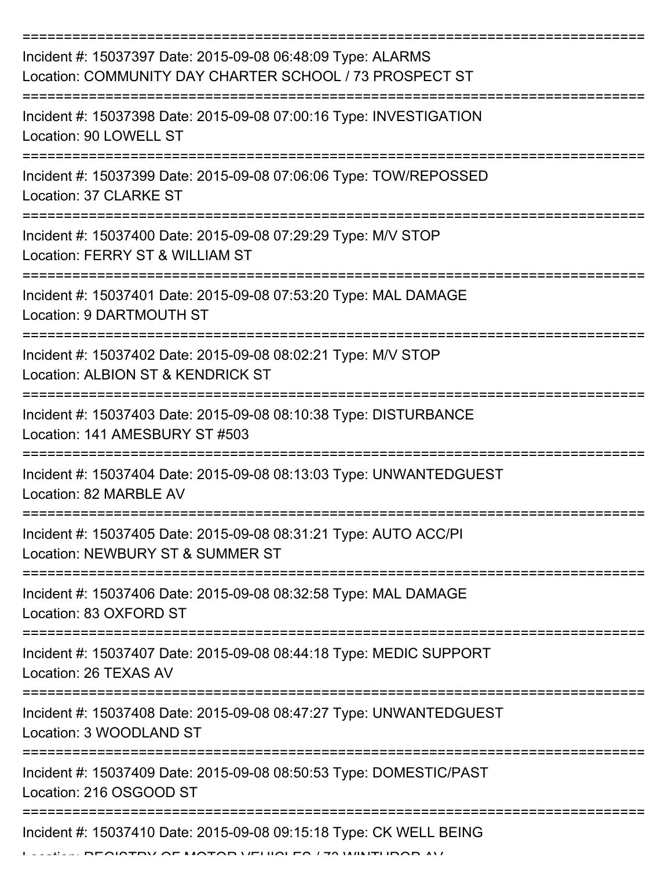| Incident #: 15037397 Date: 2015-09-08 06:48:09 Type: ALARMS<br>Location: COMMUNITY DAY CHARTER SCHOOL / 73 PROSPECT ST |
|------------------------------------------------------------------------------------------------------------------------|
| Incident #: 15037398 Date: 2015-09-08 07:00:16 Type: INVESTIGATION<br>Location: 90 LOWELL ST                           |
| Incident #: 15037399 Date: 2015-09-08 07:06:06 Type: TOW/REPOSSED<br>Location: 37 CLARKE ST                            |
| Incident #: 15037400 Date: 2015-09-08 07:29:29 Type: M/V STOP<br>Location: FERRY ST & WILLIAM ST                       |
| Incident #: 15037401 Date: 2015-09-08 07:53:20 Type: MAL DAMAGE<br>Location: 9 DARTMOUTH ST                            |
| Incident #: 15037402 Date: 2015-09-08 08:02:21 Type: M/V STOP<br>Location: ALBION ST & KENDRICK ST                     |
| Incident #: 15037403 Date: 2015-09-08 08:10:38 Type: DISTURBANCE<br>Location: 141 AMESBURY ST #503                     |
| Incident #: 15037404 Date: 2015-09-08 08:13:03 Type: UNWANTEDGUEST<br>Location: 82 MARBLE AV                           |
| Incident #: 15037405 Date: 2015-09-08 08:31:21 Type: AUTO ACC/PI<br>Location: NEWBURY ST & SUMMER ST                   |
| Incident #: 15037406 Date: 2015-09-08 08:32:58 Type: MAL DAMAGE<br>Location: 83 OXFORD ST                              |
| Incident #: 15037407 Date: 2015-09-08 08:44:18 Type: MEDIC SUPPORT<br>Location: 26 TEXAS AV                            |
| Incident #: 15037408 Date: 2015-09-08 08:47:27 Type: UNWANTEDGUEST<br>Location: 3 WOODLAND ST                          |
| Incident #: 15037409 Date: 2015-09-08 08:50:53 Type: DOMESTIC/PAST<br>Location: 216 OSGOOD ST                          |
| Incident #: 15037410 Date: 2015-09-08 09:15:18 Type: CK WELL BEING                                                     |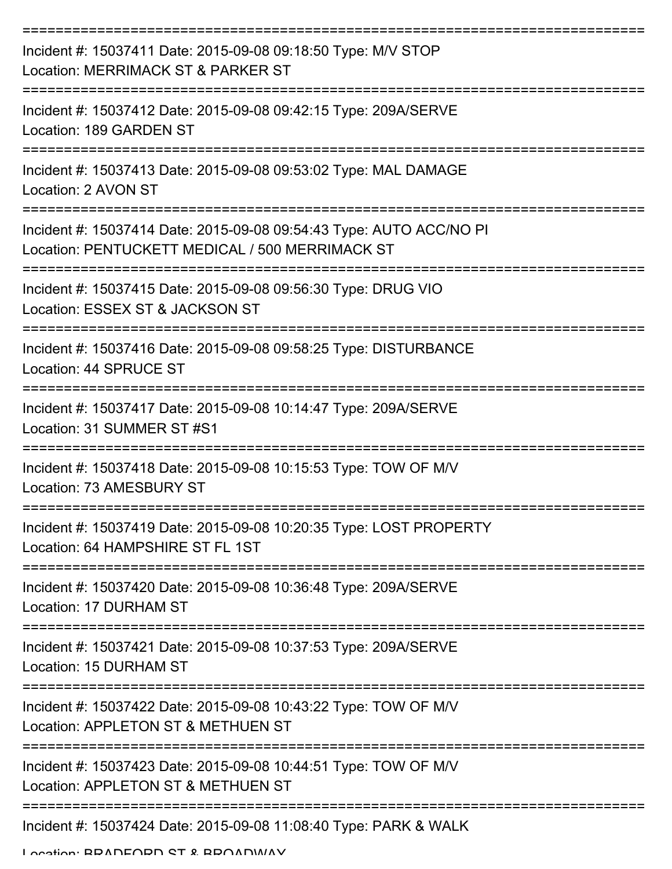| Incident #: 15037411 Date: 2015-09-08 09:18:50 Type: M/V STOP<br>Location: MERRIMACK ST & PARKER ST                    |
|------------------------------------------------------------------------------------------------------------------------|
| Incident #: 15037412 Date: 2015-09-08 09:42:15 Type: 209A/SERVE<br>Location: 189 GARDEN ST                             |
| Incident #: 15037413 Date: 2015-09-08 09:53:02 Type: MAL DAMAGE<br>Location: 2 AVON ST                                 |
| Incident #: 15037414 Date: 2015-09-08 09:54:43 Type: AUTO ACC/NO PI<br>Location: PENTUCKETT MEDICAL / 500 MERRIMACK ST |
| Incident #: 15037415 Date: 2015-09-08 09:56:30 Type: DRUG VIO<br>Location: ESSEX ST & JACKSON ST                       |
| Incident #: 15037416 Date: 2015-09-08 09:58:25 Type: DISTURBANCE<br>Location: 44 SPRUCE ST                             |
| Incident #: 15037417 Date: 2015-09-08 10:14:47 Type: 209A/SERVE<br>Location: 31 SUMMER ST #S1                          |
| Incident #: 15037418 Date: 2015-09-08 10:15:53 Type: TOW OF M/V<br>Location: 73 AMESBURY ST                            |
| Incident #: 15037419 Date: 2015-09-08 10:20:35 Type: LOST PROPERTY<br>Location: 64 HAMPSHIRE ST FL 1ST                 |
| Incident #: 15037420 Date: 2015-09-08 10:36:48 Type: 209A/SERVE<br>Location: 17 DURHAM ST                              |
| Incident #: 15037421 Date: 2015-09-08 10:37:53 Type: 209A/SERVE<br>Location: 15 DURHAM ST                              |
| Incident #: 15037422 Date: 2015-09-08 10:43:22 Type: TOW OF M/V<br>Location: APPLETON ST & METHUEN ST                  |
| Incident #: 15037423 Date: 2015-09-08 10:44:51 Type: TOW OF M/V<br>Location: APPLETON ST & METHUEN ST                  |
| ----------------------------------<br>Incident #: 15037424 Date: 2015-09-08 11:08:40 Type: PARK & WALK                 |

Location: BRADFORD ST & BROADWAY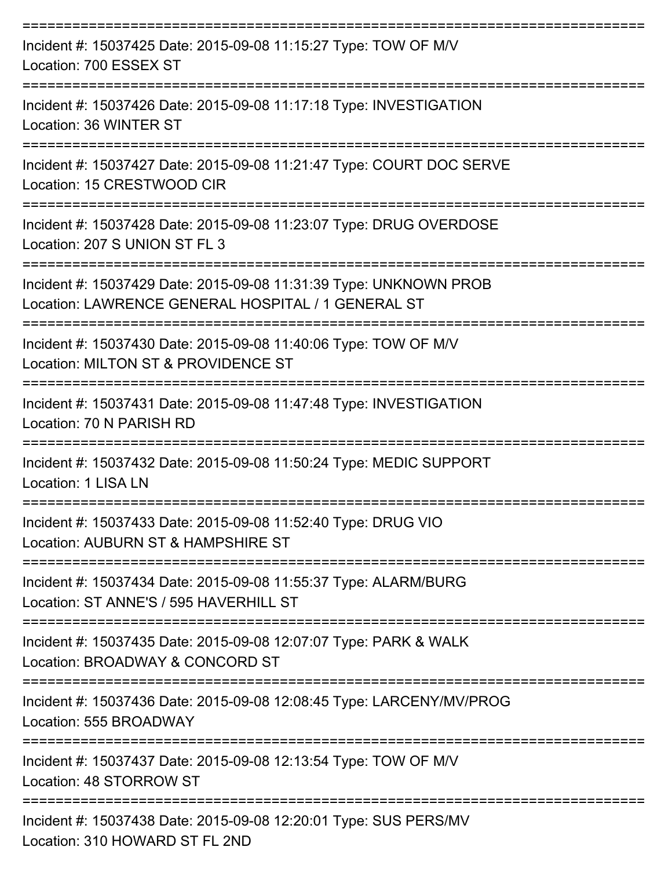| Incident #: 15037425 Date: 2015-09-08 11:15:27 Type: TOW OF M/V<br>Location: 700 ESSEX ST                               |
|-------------------------------------------------------------------------------------------------------------------------|
| Incident #: 15037426 Date: 2015-09-08 11:17:18 Type: INVESTIGATION<br>Location: 36 WINTER ST                            |
| Incident #: 15037427 Date: 2015-09-08 11:21:47 Type: COURT DOC SERVE<br>Location: 15 CRESTWOOD CIR                      |
| Incident #: 15037428 Date: 2015-09-08 11:23:07 Type: DRUG OVERDOSE<br>Location: 207 S UNION ST FL 3                     |
| Incident #: 15037429 Date: 2015-09-08 11:31:39 Type: UNKNOWN PROB<br>Location: LAWRENCE GENERAL HOSPITAL / 1 GENERAL ST |
| Incident #: 15037430 Date: 2015-09-08 11:40:06 Type: TOW OF M/V<br>Location: MILTON ST & PROVIDENCE ST                  |
| Incident #: 15037431 Date: 2015-09-08 11:47:48 Type: INVESTIGATION<br>Location: 70 N PARISH RD                          |
| Incident #: 15037432 Date: 2015-09-08 11:50:24 Type: MEDIC SUPPORT<br>Location: 1 LISA LN                               |
| Incident #: 15037433 Date: 2015-09-08 11:52:40 Type: DRUG VIO<br>Location: AUBURN ST & HAMPSHIRE ST                     |
| Incident #: 15037434 Date: 2015-09-08 11:55:37 Type: ALARM/BURG<br>Location: ST ANNE'S / 595 HAVERHILL ST               |
| Incident #: 15037435 Date: 2015-09-08 12:07:07 Type: PARK & WALK<br>Location: BROADWAY & CONCORD ST                     |
| Incident #: 15037436 Date: 2015-09-08 12:08:45 Type: LARCENY/MV/PROG<br>Location: 555 BROADWAY                          |
| Incident #: 15037437 Date: 2015-09-08 12:13:54 Type: TOW OF M/V<br>Location: 48 STORROW ST                              |
| Incident #: 15037438 Date: 2015-09-08 12:20:01 Type: SUS PERS/MV<br>Location: 310 HOWARD ST FL 2ND                      |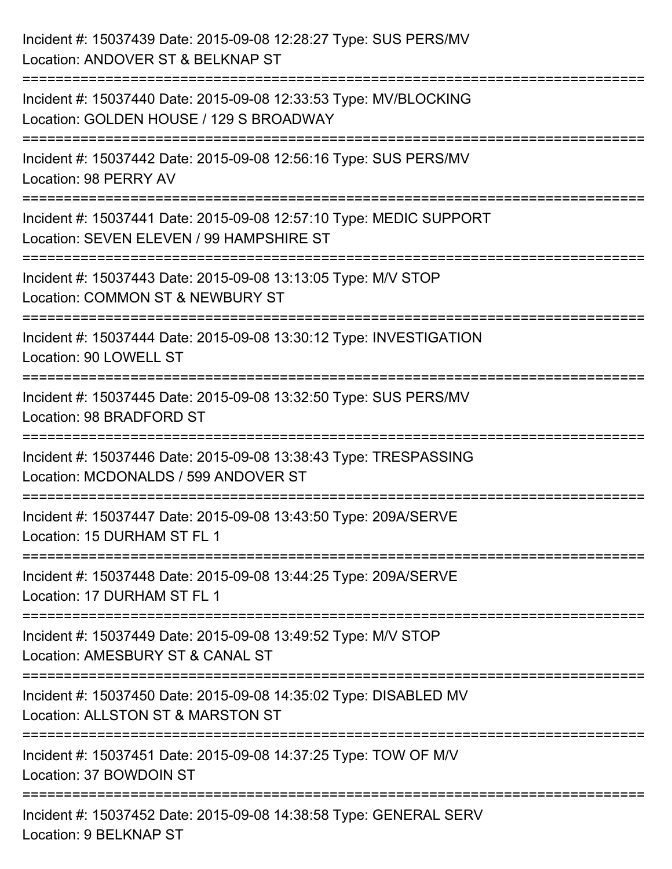| Incident #: 15037439 Date: 2015-09-08 12:28:27 Type: SUS PERS/MV<br>Location: ANDOVER ST & BELKNAP ST                 |
|-----------------------------------------------------------------------------------------------------------------------|
| Incident #: 15037440 Date: 2015-09-08 12:33:53 Type: MV/BLOCKING<br>Location: GOLDEN HOUSE / 129 S BROADWAY           |
| Incident #: 15037442 Date: 2015-09-08 12:56:16 Type: SUS PERS/MV<br>Location: 98 PERRY AV                             |
| Incident #: 15037441 Date: 2015-09-08 12:57:10 Type: MEDIC SUPPORT<br>Location: SEVEN ELEVEN / 99 HAMPSHIRE ST        |
| Incident #: 15037443 Date: 2015-09-08 13:13:05 Type: M/V STOP<br>Location: COMMON ST & NEWBURY ST<br>================ |
| Incident #: 15037444 Date: 2015-09-08 13:30:12 Type: INVESTIGATION<br>Location: 90 LOWELL ST                          |
| Incident #: 15037445 Date: 2015-09-08 13:32:50 Type: SUS PERS/MV<br>Location: 98 BRADFORD ST                          |
| Incident #: 15037446 Date: 2015-09-08 13:38:43 Type: TRESPASSING<br>Location: MCDONALDS / 599 ANDOVER ST              |
| Incident #: 15037447 Date: 2015-09-08 13:43:50 Type: 209A/SERVE<br>Location: 15 DURHAM ST FL 1                        |
| Incident #: 15037448 Date: 2015-09-08 13:44:25 Type: 209A/SERVE<br>Location: 17 DURHAM ST FL 1                        |
| Incident #: 15037449 Date: 2015-09-08 13:49:52 Type: M/V STOP<br>Location: AMESBURY ST & CANAL ST                     |
| Incident #: 15037450 Date: 2015-09-08 14:35:02 Type: DISABLED MV<br>Location: ALLSTON ST & MARSTON ST                 |
| Incident #: 15037451 Date: 2015-09-08 14:37:25 Type: TOW OF M/V<br>Location: 37 BOWDOIN ST                            |
| Incident #: 15037452 Date: 2015-09-08 14:38:58 Type: GENERAL SERV<br>Location: 9 BELKNAP ST                           |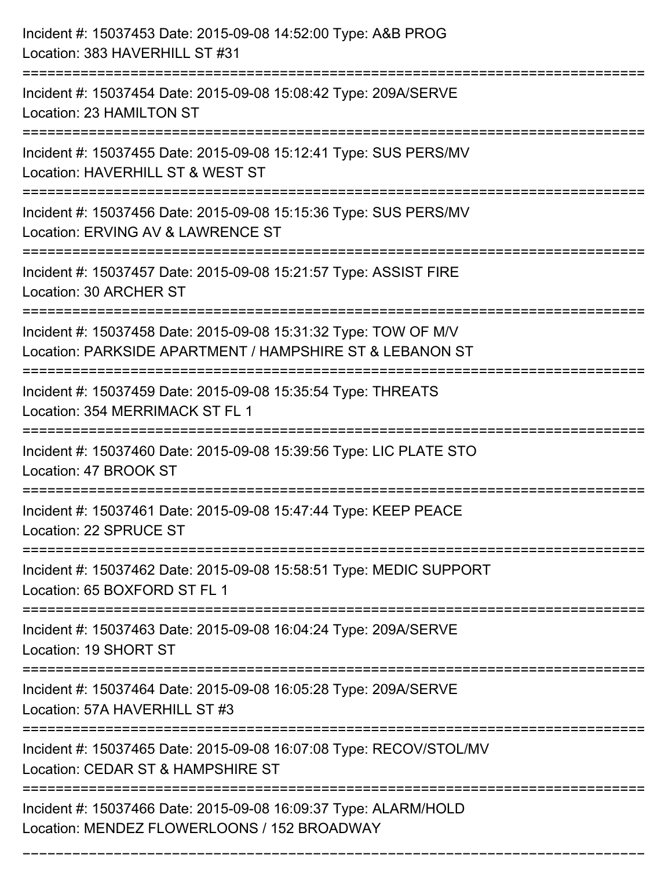| Incident #: 15037453 Date: 2015-09-08 14:52:00 Type: A&B PROG<br>Location: 383 HAVERHILL ST #31                                  |
|----------------------------------------------------------------------------------------------------------------------------------|
| Incident #: 15037454 Date: 2015-09-08 15:08:42 Type: 209A/SERVE<br>Location: 23 HAMILTON ST                                      |
| Incident #: 15037455 Date: 2015-09-08 15:12:41 Type: SUS PERS/MV<br>Location: HAVERHILL ST & WEST ST                             |
| Incident #: 15037456 Date: 2015-09-08 15:15:36 Type: SUS PERS/MV<br>Location: ERVING AV & LAWRENCE ST                            |
| Incident #: 15037457 Date: 2015-09-08 15:21:57 Type: ASSIST FIRE<br>Location: 30 ARCHER ST<br>================================== |
| Incident #: 15037458 Date: 2015-09-08 15:31:32 Type: TOW OF M/V<br>Location: PARKSIDE APARTMENT / HAMPSHIRE ST & LEBANON ST      |
| Incident #: 15037459 Date: 2015-09-08 15:35:54 Type: THREATS<br>Location: 354 MERRIMACK ST FL 1                                  |
| Incident #: 15037460 Date: 2015-09-08 15:39:56 Type: LIC PLATE STO<br>Location: 47 BROOK ST                                      |
| Incident #: 15037461 Date: 2015-09-08 15:47:44 Type: KEEP PEACE<br>Location: 22 SPRUCE ST                                        |
| Incident #: 15037462 Date: 2015-09-08 15:58:51 Type: MEDIC SUPPORT<br>Location: 65 BOXFORD ST FL 1                               |
| Incident #: 15037463 Date: 2015-09-08 16:04:24 Type: 209A/SERVE<br>Location: 19 SHORT ST                                         |
| Incident #: 15037464 Date: 2015-09-08 16:05:28 Type: 209A/SERVE<br>Location: 57A HAVERHILL ST #3                                 |
| Incident #: 15037465 Date: 2015-09-08 16:07:08 Type: RECOV/STOL/MV<br>Location: CEDAR ST & HAMPSHIRE ST                          |
| Incident #: 15037466 Date: 2015-09-08 16:09:37 Type: ALARM/HOLD<br>Location: MENDEZ FLOWERLOONS / 152 BROADWAY                   |

===========================================================================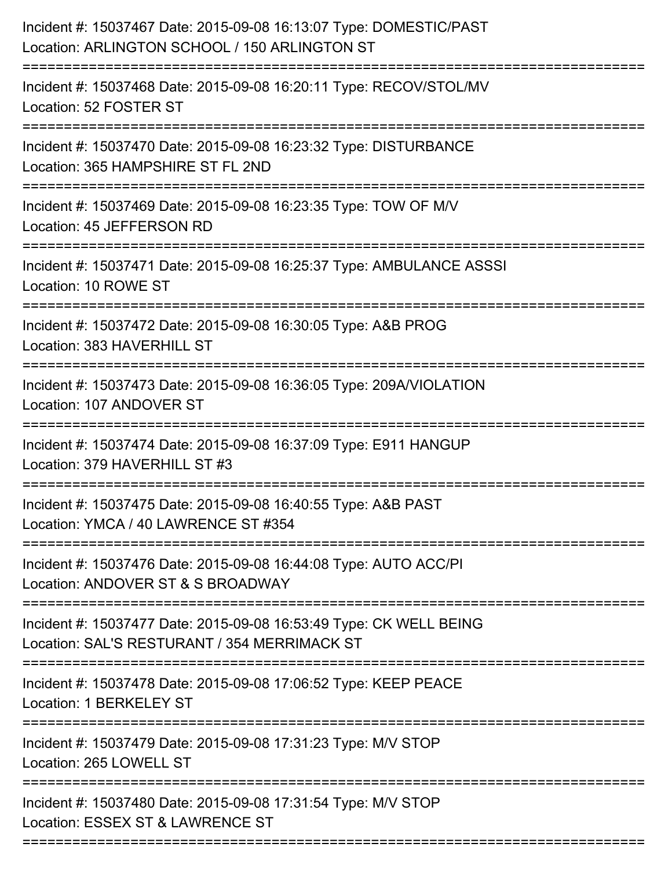| Incident #: 15037467 Date: 2015-09-08 16:13:07 Type: DOMESTIC/PAST<br>Location: ARLINGTON SCHOOL / 150 ARLINGTON ST |
|---------------------------------------------------------------------------------------------------------------------|
| Incident #: 15037468 Date: 2015-09-08 16:20:11 Type: RECOV/STOL/MV<br>Location: 52 FOSTER ST                        |
| Incident #: 15037470 Date: 2015-09-08 16:23:32 Type: DISTURBANCE<br>Location: 365 HAMPSHIRE ST FL 2ND               |
| Incident #: 15037469 Date: 2015-09-08 16:23:35 Type: TOW OF M/V<br>Location: 45 JEFFERSON RD                        |
| Incident #: 15037471 Date: 2015-09-08 16:25:37 Type: AMBULANCE ASSSI<br>Location: 10 ROWE ST                        |
| Incident #: 15037472 Date: 2015-09-08 16:30:05 Type: A&B PROG<br>Location: 383 HAVERHILL ST                         |
| Incident #: 15037473 Date: 2015-09-08 16:36:05 Type: 209A/VIOLATION<br>Location: 107 ANDOVER ST                     |
| Incident #: 15037474 Date: 2015-09-08 16:37:09 Type: E911 HANGUP<br>Location: 379 HAVERHILL ST #3                   |
| Incident #: 15037475 Date: 2015-09-08 16:40:55 Type: A&B PAST<br>Location: YMCA / 40 LAWRENCE ST #354               |
| Incident #: 15037476 Date: 2015-09-08 16:44:08 Type: AUTO ACC/PI<br>Location: ANDOVER ST & S BROADWAY               |
| Incident #: 15037477 Date: 2015-09-08 16:53:49 Type: CK WELL BEING<br>Location: SAL'S RESTURANT / 354 MERRIMACK ST  |
| Incident #: 15037478 Date: 2015-09-08 17:06:52 Type: KEEP PEACE<br>Location: 1 BERKELEY ST                          |
| -----------------------<br>Incident #: 15037479 Date: 2015-09-08 17:31:23 Type: M/V STOP<br>Location: 265 LOWELL ST |
| Incident #: 15037480 Date: 2015-09-08 17:31:54 Type: M/V STOP<br>Location: ESSEX ST & LAWRENCE ST                   |
|                                                                                                                     |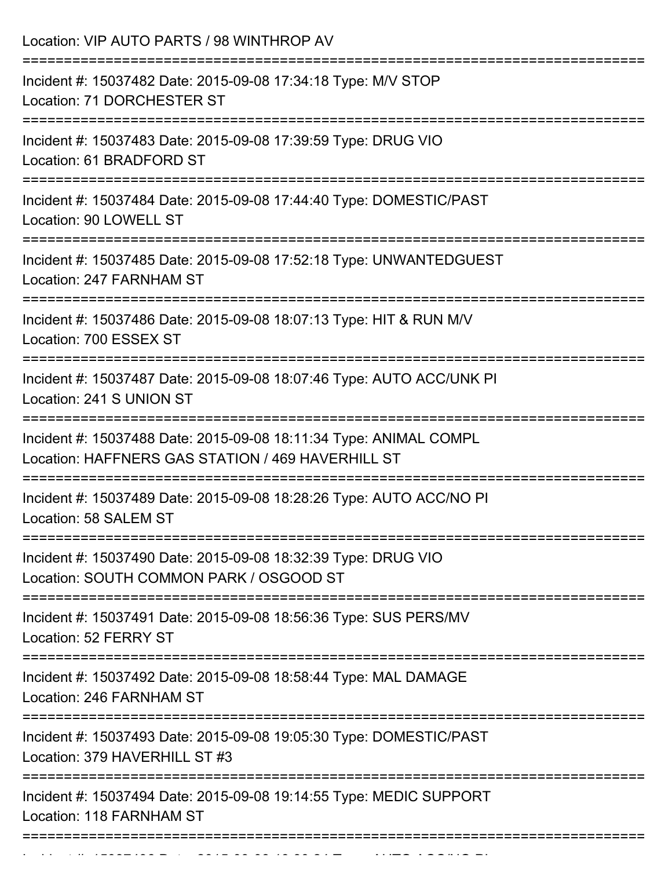| Location: VIP AUTO PARTS / 98 WINTHROP AV<br>----------------------------                                                                                           |
|---------------------------------------------------------------------------------------------------------------------------------------------------------------------|
| Incident #: 15037482 Date: 2015-09-08 17:34:18 Type: M/V STOP<br>Location: 71 DORCHESTER ST                                                                         |
| Incident #: 15037483 Date: 2015-09-08 17:39:59 Type: DRUG VIO<br>Location: 61 BRADFORD ST<br>-----------------------------------                                    |
| Incident #: 15037484 Date: 2015-09-08 17:44:40 Type: DOMESTIC/PAST<br>Location: 90 LOWELL ST                                                                        |
| Incident #: 15037485 Date: 2015-09-08 17:52:18 Type: UNWANTEDGUEST<br>Location: 247 FARNHAM ST<br>===================================<br>========================== |
| Incident #: 15037486 Date: 2015-09-08 18:07:13 Type: HIT & RUN M/V<br>Location: 700 ESSEX ST                                                                        |
| Incident #: 15037487 Date: 2015-09-08 18:07:46 Type: AUTO ACC/UNK PI<br>Location: 241 S UNION ST<br>===========================<br>-------------------------------- |
| Incident #: 15037488 Date: 2015-09-08 18:11:34 Type: ANIMAL COMPL<br>Location: HAFFNERS GAS STATION / 469 HAVERHILL ST                                              |
| :========================<br>Incident #: 15037489 Date: 2015-09-08 18:28:26 Type: AUTO ACC/NO PI<br>Location: 58 SALEM ST                                           |
| Incident #: 15037490 Date: 2015-09-08 18:32:39 Type: DRUG VIO<br>Location: SOUTH COMMON PARK / OSGOOD ST                                                            |
| Incident #: 15037491 Date: 2015-09-08 18:56:36 Type: SUS PERS/MV<br>Location: 52 FERRY ST                                                                           |
| ===========================<br>Incident #: 15037492 Date: 2015-09-08 18:58:44 Type: MAL DAMAGE<br>Location: 246 FARNHAM ST                                          |
| Incident #: 15037493 Date: 2015-09-08 19:05:30 Type: DOMESTIC/PAST<br>Location: 379 HAVERHILL ST #3                                                                 |
| Incident #: 15037494 Date: 2015-09-08 19:14:55 Type: MEDIC SUPPORT<br>Location: 118 FARNHAM ST                                                                      |

Incident #: 15037496 Date: 2015 09 08 19:30:24 Type: 2015 09 09 19:30:24 Type: AUTO ACC/NO PI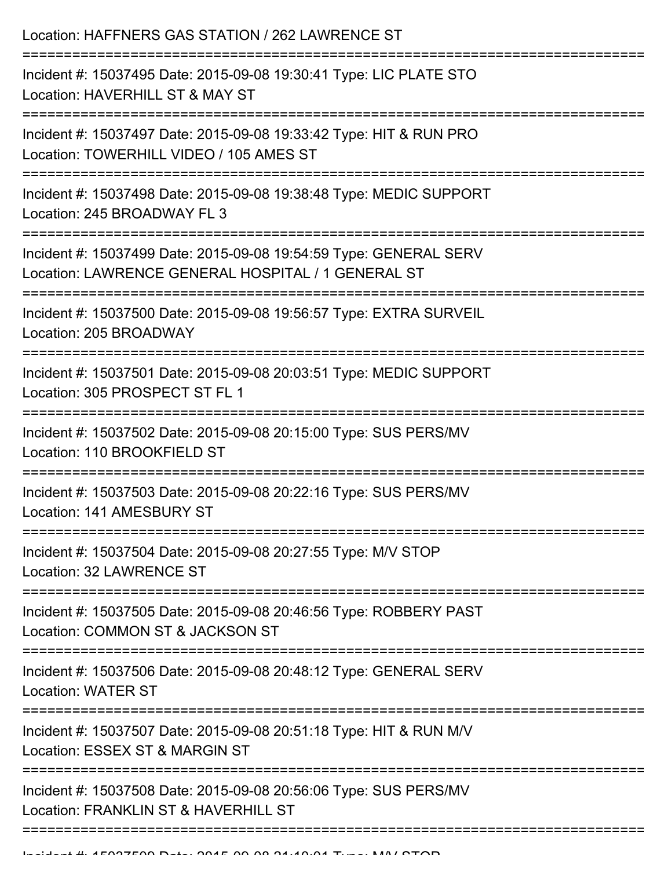Location: HAFFNERS GAS STATION / 262 LAWRENCE ST =========================================================================== Incident #: 15037495 Date: 2015-09-08 19:30:41 Type: LIC PLATE STO Location: HAVERHILL ST & MAY ST =========================================================================== Incident #: 15037497 Date: 2015-09-08 19:33:42 Type: HIT & RUN PRO Location: TOWERHILL VIDEO / 105 AMES ST =========================================================================== Incident #: 15037498 Date: 2015-09-08 19:38:48 Type: MEDIC SUPPORT Location: 245 BROADWAY FL 3 =========================================================================== Incident #: 15037499 Date: 2015-09-08 19:54:59 Type: GENERAL SERV Location: LAWRENCE GENERAL HOSPITAL / 1 GENERAL ST =========================================================================== Incident #: 15037500 Date: 2015-09-08 19:56:57 Type: EXTRA SURVEIL Location: 205 BROADWAY =========================================================================== Incident #: 15037501 Date: 2015-09-08 20:03:51 Type: MEDIC SUPPORT Location: 305 PROSPECT ST FL 1 =========================================================================== Incident #: 15037502 Date: 2015-09-08 20:15:00 Type: SUS PERS/MV Location: 110 BROOKFIELD ST =========================================================================== Incident #: 15037503 Date: 2015-09-08 20:22:16 Type: SUS PERS/MV Location: 141 AMESBURY ST =========================================================================== Incident #: 15037504 Date: 2015-09-08 20:27:55 Type: M/V STOP Location: 32 LAWRENCE ST =========================================================================== Incident #: 15037505 Date: 2015-09-08 20:46:56 Type: ROBBERY PAST Location: COMMON ST & JACKSON ST =========================================================================== Incident #: 15037506 Date: 2015-09-08 20:48:12 Type: GENERAL SERV Location: WATER ST =========================================================================== Incident #: 15037507 Date: 2015-09-08 20:51:18 Type: HIT & RUN M/V Location: ESSEX ST & MARGIN ST =========================================================================== Incident #: 15037508 Date: 2015-09-08 20:56:06 Type: SUS PERS/MV Location: FRANKLIN ST & HAVERHILL ST ===========================================================================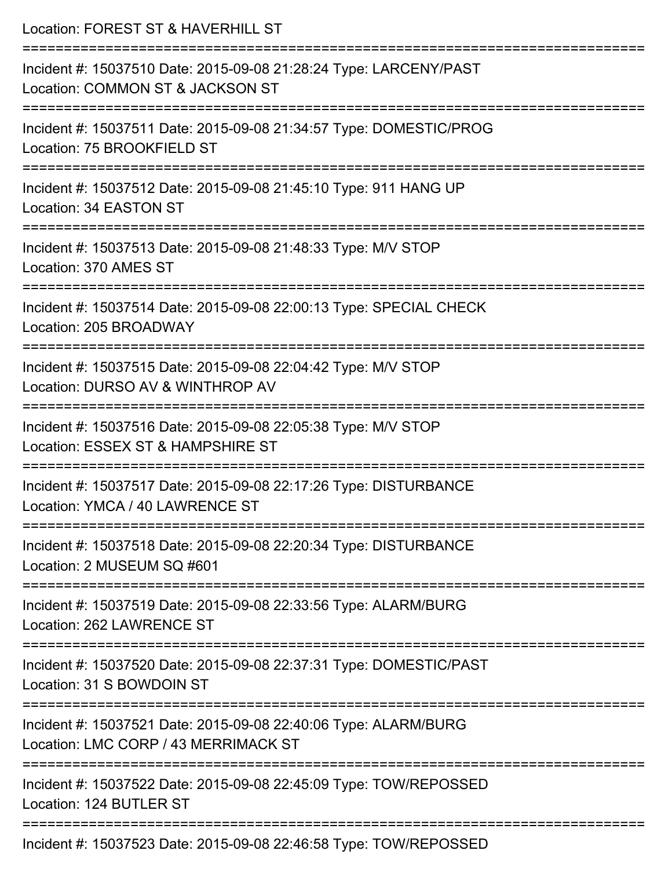| Location: FOREST ST & HAVERHILL ST                                                                                            |
|-------------------------------------------------------------------------------------------------------------------------------|
| Incident #: 15037510 Date: 2015-09-08 21:28:24 Type: LARCENY/PAST<br>Location: COMMON ST & JACKSON ST<br>==================== |
| Incident #: 15037511 Date: 2015-09-08 21:34:57 Type: DOMESTIC/PROG<br>Location: 75 BROOKFIELD ST                              |
| Incident #: 15037512 Date: 2015-09-08 21:45:10 Type: 911 HANG UP<br>Location: 34 EASTON ST                                    |
| Incident #: 15037513 Date: 2015-09-08 21:48:33 Type: M/V STOP<br>Location: 370 AMES ST                                        |
| Incident #: 15037514 Date: 2015-09-08 22:00:13 Type: SPECIAL CHECK<br>Location: 205 BROADWAY                                  |
| Incident #: 15037515 Date: 2015-09-08 22:04:42 Type: M/V STOP<br>Location: DURSO AV & WINTHROP AV                             |
| Incident #: 15037516 Date: 2015-09-08 22:05:38 Type: M/V STOP<br>Location: ESSEX ST & HAMPSHIRE ST                            |
| Incident #: 15037517 Date: 2015-09-08 22:17:26 Type: DISTURBANCE<br>Location: YMCA / 40 LAWRENCE ST                           |
| Incident #: 15037518 Date: 2015-09-08 22:20:34 Type: DISTURBANCE<br>Location: 2 MUSEUM SQ #601                                |
| Incident #: 15037519 Date: 2015-09-08 22:33:56 Type: ALARM/BURG<br>Location: 262 LAWRENCE ST                                  |
| Incident #: 15037520 Date: 2015-09-08 22:37:31 Type: DOMESTIC/PAST<br>Location: 31 S BOWDOIN ST                               |
| Incident #: 15037521 Date: 2015-09-08 22:40:06 Type: ALARM/BURG<br>Location: LMC CORP / 43 MERRIMACK ST                       |
| Incident #: 15037522 Date: 2015-09-08 22:45:09 Type: TOW/REPOSSED<br>Location: 124 BUTLER ST                                  |
| $Incident #: 4E097E99 \text{ Dote} : 204E 00 09 224E E9 \text{ Tune} : T011/DEDOCCET$                                         |

Incident #: 15037523 Date: 2015-09-08 22:46:58 Type: TOW/REPOSSED